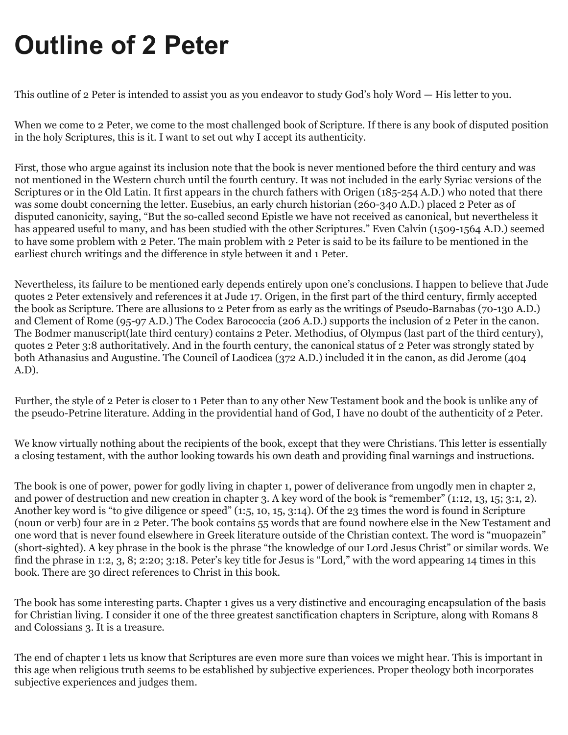# **Outline of 2 Peter**

This outline of 2 Peter is intended to assist you as you endeavor to study God's holy Word — His letter to you.

When we come to 2 Peter, we come to the most challenged book of Scripture. If there is any book of disputed position in the holy Scriptures, this is it. I want to set out why I accept its authenticity.

First, those who argue against its inclusion note that the book is never mentioned before the third century and was not mentioned in the Western church until the fourth century. It was not included in the early Syriac versions of the Scriptures or in the Old Latin. It first appears in the church fathers with Origen (185-254 A.D.) who noted that there was some doubt concerning the letter. Eusebius, an early church historian (260-340 A.D.) placed 2 Peter as of disputed canonicity, saying, "But the so-called second Epistle we have not received as canonical, but nevertheless it has appeared useful to many, and has been studied with the other Scriptures." Even Calvin (1509-1564 A.D.) seemed to have some problem with 2 Peter. The main problem with 2 Peter is said to be its failure to be mentioned in the earliest church writings and the difference in style between it and 1 Peter.

Nevertheless, its failure to be mentioned early depends entirely upon one's conclusions. I happen to believe that Jude quotes 2 Peter extensively and references it at Jude 17. Origen, in the first part of the third century, firmly accepted the book as Scripture. There are allusions to 2 Peter from as early as the writings of Pseudo-Barnabas (70-130 A.D.) and Clement of Rome (95-97 A.D.) The Codex Barococcia (206 A.D.) supports the inclusion of 2 Peter in the canon. The Bodmer manuscript(late third century) contains 2 Peter. Methodius, of Olympus (last part of the third century), quotes 2 Peter 3:8 authoritatively. And in the fourth century, the canonical status of 2 Peter was strongly stated by both Athanasius and Augustine. The Council of Laodicea (372 A.D.) included it in the canon, as did Jerome (404 A.D).

Further, the style of 2 Peter is closer to 1 Peter than to any other New Testament book and the book is unlike any of the pseudo-Petrine literature. Adding in the providential hand of God, I have no doubt of the authenticity of 2 Peter.

We know virtually nothing about the recipients of the book, except that they were Christians. This letter is essentially a closing testament, with the author looking towards his own death and providing final warnings and instructions.

The book is one of power, power for godly living in chapter 1, power of deliverance from ungodly men in chapter 2, and power of destruction and new creation in chapter 3. A key word of the book is "remember" (1:12, 13, 15; 3:1, 2). Another key word is "to give diligence or speed" (1:5, 10, 15, 3:14). Of the 23 times the word is found in Scripture (noun or verb) four are in 2 Peter. The book contains 55 words that are found nowhere else in the New Testament and one word that is never found elsewhere in Greek literature outside of the Christian context. The word is "muopazein" (short-sighted). A key phrase in the book is the phrase "the knowledge of our Lord Jesus Christ" or similar words. We find the phrase in 1:2, 3, 8; 2:20; 3:18. Peter's key title for Jesus is "Lord," with the word appearing 14 times in this book. There are 30 direct references to Christ in this book.

The book has some interesting parts. Chapter 1 gives us a very distinctive and encouraging encapsulation of the basis for Christian living. I consider it one of the three greatest sanctification chapters in Scripture, along with Romans 8 and Colossians 3. It is a treasure.

The end of chapter 1 lets us know that Scriptures are even more sure than voices we might hear. This is important in this age when religious truth seems to be established by subjective experiences. Proper theology both incorporates subjective experiences and judges them.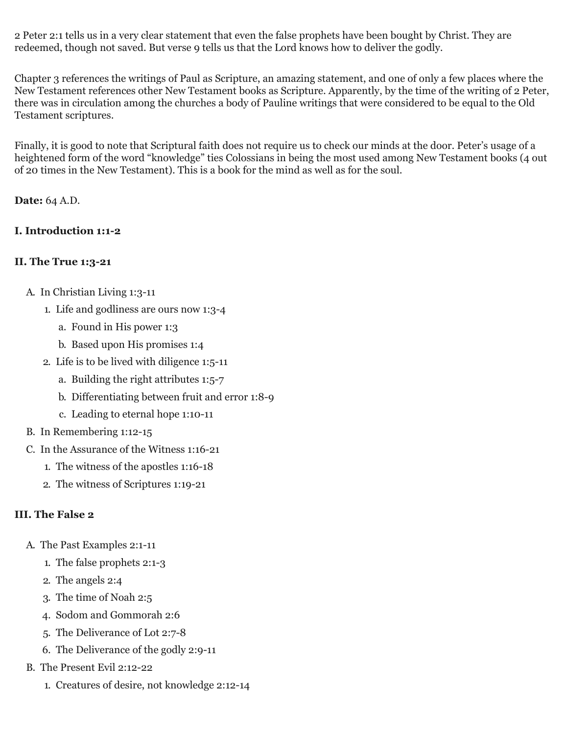2 Peter 2:1 tells us in a very clear statement that even the false prophets have been bought by Christ. They are redeemed, though not saved. But verse 9 tells us that the Lord knows how to deliver the godly.

Chapter 3 references the writings of Paul as Scripture, an amazing statement, and one of only a few places where the New Testament references other New Testament books as Scripture. Apparently, by the time of the writing of 2 Peter, there was in circulation among the churches a body of Pauline writings that were considered to be equal to the Old Testament scriptures.

Finally, it is good to note that Scriptural faith does not require us to check our minds at the door. Peter's usage of a heightened form of the word "knowledge" ties Colossians in being the most used among New Testament books (4 out of 20 times in the New Testament). This is a book for the mind as well as for the soul.

**Date:** 64 A.D.

### **I. Introduction 1:1-2**

### **II. The True 1:3-21**

- A. In Christian Living 1:3-11
	- 1. Life and godliness are ours now 1:3-4
		- a. Found in His power 1:3
		- b. Based upon His promises 1:4
	- 2. Life is to be lived with diligence 1:5-11
		- a. Building the right attributes 1:5-7
		- b. Differentiating between fruit and error 1:8-9
		- c. Leading to eternal hope 1:10-11
- B. In Remembering 1:12-15
- C. In the Assurance of the Witness 1:16-21
	- 1. The witness of the apostles 1:16-18
	- 2. The witness of Scriptures 1:19-21

# **III. The False 2**

- A. The Past Examples 2:1-11
	- 1. The false prophets 2:1-3
	- 2. The angels 2:4
	- 3. The time of Noah 2:5
	- 4. Sodom and Gommorah 2:6
	- 5. The Deliverance of Lot 2:7-8
	- 6. The Deliverance of the godly 2:9-11
- B. The Present Evil 2:12-22
	- 1. Creatures of desire, not knowledge 2:12-14